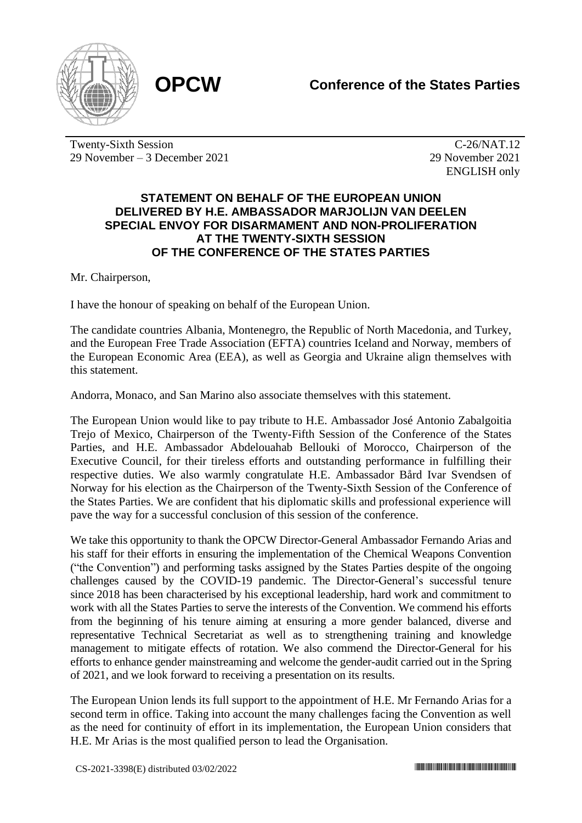

Twenty-Sixth Session 29 November – 3 December 2021

C-26/NAT.12 29 November 2021 ENGLISH only

## **STATEMENT ON BEHALF OF THE EUROPEAN UNION DELIVERED BY H.E. AMBASSADOR MARJOLIJN VAN DEELEN SPECIAL ENVOY FOR DISARMAMENT AND NON-PROLIFERATION AT THE TWENTY-SIXTH SESSION OF THE CONFERENCE OF THE STATES PARTIES**

Mr. Chairperson,

I have the honour of speaking on behalf of the European Union.

The candidate countries Albania, Montenegro, the Republic of North Macedonia, and Turkey, and the European Free Trade Association (EFTA) countries Iceland and Norway, members of the European Economic Area (EEA), as well as Georgia and Ukraine align themselves with this statement.

Andorra, Monaco, and San Marino also associate themselves with this statement.

The European Union would like to pay tribute to H.E. Ambassador José Antonio Zabalgoitia Trejo of Mexico, Chairperson of the Twenty-Fifth Session of the Conference of the States Parties, and H.E. Ambassador Abdelouahab Bellouki of Morocco, Chairperson of the Executive Council, for their tireless efforts and outstanding performance in fulfilling their respective duties. We also warmly congratulate H.E. Ambassador Bård Ivar Svendsen of Norway for his election as the Chairperson of the Twenty-Sixth Session of the Conference of the States Parties. We are confident that his diplomatic skills and professional experience will pave the way for a successful conclusion of this session of the conference.

We take this opportunity to thank the OPCW Director-General Ambassador Fernando Arias and his staff for their efforts in ensuring the implementation of the Chemical Weapons Convention ("the Convention") and performing tasks assigned by the States Parties despite of the ongoing challenges caused by the COVID-19 pandemic. The Director-General's successful tenure since 2018 has been characterised by his exceptional leadership, hard work and commitment to work with all the States Parties to serve the interests of the Convention. We commend his efforts from the beginning of his tenure aiming at ensuring a more gender balanced, diverse and representative Technical Secretariat as well as to strengthening training and knowledge management to mitigate effects of rotation. We also commend the Director-General for his efforts to enhance gender mainstreaming and welcome the gender-audit carried out in the Spring of 2021, and we look forward to receiving a presentation on its results.

The European Union lends its full support to the appointment of H.E. Mr Fernando Arias for a second term in office. Taking into account the many challenges facing the Convention as well as the need for continuity of effort in its implementation, the European Union considers that H.E. Mr Arias is the most qualified person to lead the Organisation.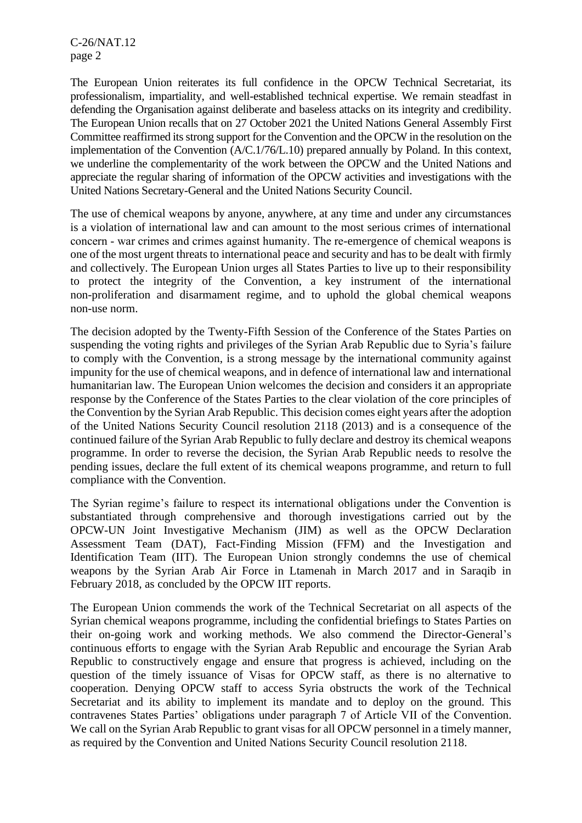C-26/NAT.12 page 2

The European Union reiterates its full confidence in the OPCW Technical Secretariat, its professionalism, impartiality, and well-established technical expertise. We remain steadfast in defending the Organisation against deliberate and baseless attacks on its integrity and credibility. The European Union recalls that on 27 October 2021 the United Nations General Assembly First Committee reaffirmed its strong support for the Convention and the OPCW in the resolution on the implementation of the Convention (A/C.1/76/L.10) prepared annually by Poland. In this context, we underline the complementarity of the work between the OPCW and the United Nations and appreciate the regular sharing of information of the OPCW activities and investigations with the United Nations Secretary-General and the United Nations Security Council.

The use of chemical weapons by anyone, anywhere, at any time and under any circumstances is a violation of international law and can amount to the most serious crimes of international concern ‐ war crimes and crimes against humanity. The re-emergence of chemical weapons is one of the most urgent threats to international peace and security and has to be dealt with firmly and collectively. The European Union urges all States Parties to live up to their responsibility to protect the integrity of the Convention, a key instrument of the international non-proliferation and disarmament regime, and to uphold the global chemical weapons non-use norm.

The decision adopted by the Twenty-Fifth Session of the Conference of the States Parties on suspending the voting rights and privileges of the Syrian Arab Republic due to Syria's failure to comply with the Convention, is a strong message by the international community against impunity for the use of chemical weapons, and in defence of international law and international humanitarian law. The European Union welcomes the decision and considers it an appropriate response by the Conference of the States Parties to the clear violation of the core principles of the Convention by the Syrian Arab Republic. This decision comes eight years after the adoption of the United Nations Security Council resolution 2118 (2013) and is a consequence of the continued failure of the Syrian Arab Republic to fully declare and destroy its chemical weapons programme. In order to reverse the decision, the Syrian Arab Republic needs to resolve the pending issues, declare the full extent of its chemical weapons programme, and return to full compliance with the Convention.

The Syrian regime's failure to respect its international obligations under the Convention is substantiated through comprehensive and thorough investigations carried out by the OPCW-UN Joint Investigative Mechanism (JIM) as well as the OPCW Declaration Assessment Team (DAT), Fact-Finding Mission (FFM) and the Investigation and Identification Team (IIT). The European Union strongly condemns the use of chemical weapons by the Syrian Arab Air Force in Ltamenah in March 2017 and in Saraqib in February 2018, as concluded by the OPCW IIT reports.

The European Union commends the work of the Technical Secretariat on all aspects of the Syrian chemical weapons programme, including the confidential briefings to States Parties on their on-going work and working methods. We also commend the Director-General's continuous efforts to engage with the Syrian Arab Republic and encourage the Syrian Arab Republic to constructively engage and ensure that progress is achieved, including on the question of the timely issuance of Visas for OPCW staff, as there is no alternative to cooperation. Denying OPCW staff to access Syria obstructs the work of the Technical Secretariat and its ability to implement its mandate and to deploy on the ground. This contravenes States Parties' obligations under paragraph 7 of Article VII of the Convention. We call on the Syrian Arab Republic to grant visas for all OPCW personnel in a timely manner, as required by the Convention and United Nations Security Council resolution 2118.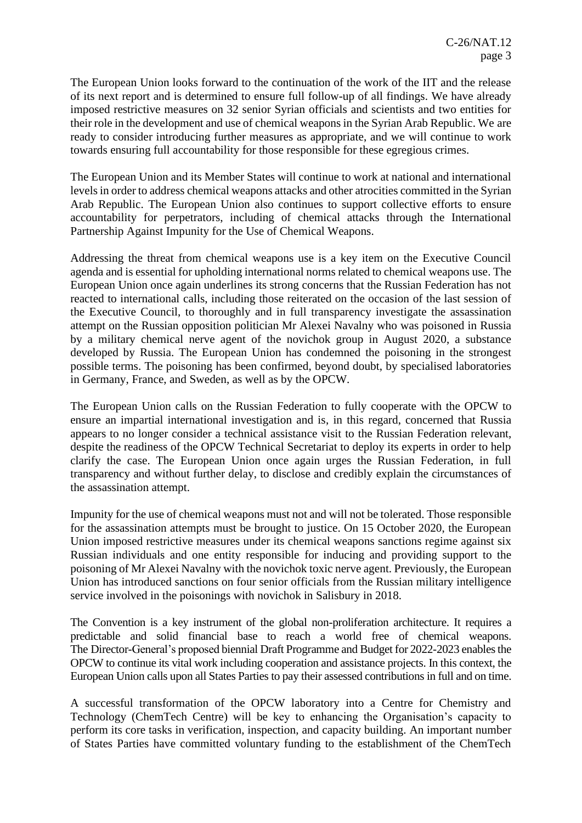The European Union looks forward to the continuation of the work of the IIT and the release of its next report and is determined to ensure full follow-up of all findings. We have already imposed restrictive measures on 32 senior Syrian officials and scientists and two entities for their role in the development and use of chemical weapons in the Syrian Arab Republic. We are ready to consider introducing further measures as appropriate, and we will continue to work towards ensuring full accountability for those responsible for these egregious crimes.

The European Union and its Member States will continue to work at national and international levels in order to address chemical weapons attacks and other atrocities committed in the Syrian Arab Republic. The European Union also continues to support collective efforts to ensure accountability for perpetrators, including of chemical attacks through the International Partnership Against Impunity for the Use of Chemical Weapons.

Addressing the threat from chemical weapons use is a key item on the Executive Council agenda and is essential for upholding international norms related to chemical weapons use. The European Union once again underlines its strong concerns that the Russian Federation has not reacted to international calls, including those reiterated on the occasion of the last session of the Executive Council, to thoroughly and in full transparency investigate the assassination attempt on the Russian opposition politician Mr Alexei Navalny who was poisoned in Russia by a military chemical nerve agent of the novichok group in August 2020, a substance developed by Russia. The European Union has condemned the poisoning in the strongest possible terms. The poisoning has been confirmed, beyond doubt, by specialised laboratories in Germany, France, and Sweden, as well as by the OPCW.

The European Union calls on the Russian Federation to fully cooperate with the OPCW to ensure an impartial international investigation and is, in this regard, concerned that Russia appears to no longer consider a technical assistance visit to the Russian Federation relevant, despite the readiness of the OPCW Technical Secretariat to deploy its experts in order to help clarify the case. The European Union once again urges the Russian Federation, in full transparency and without further delay, to disclose and credibly explain the circumstances of the assassination attempt.

Impunity for the use of chemical weapons must not and will not be tolerated. Those responsible for the assassination attempts must be brought to justice. On 15 October 2020, the European Union imposed restrictive measures under its chemical weapons sanctions regime against six Russian individuals and one entity responsible for inducing and providing support to the poisoning of Mr Alexei Navalny with the novichok toxic nerve agent. Previously, the European Union has introduced sanctions on four senior officials from the Russian military intelligence service involved in the poisonings with novichok in Salisbury in 2018.

The Convention is a key instrument of the global non-proliferation architecture. It requires a predictable and solid financial base to reach a world free of chemical weapons. The Director-General's proposed biennial Draft Programme and Budget for 2022-2023 enables the OPCW to continue its vital work including cooperation and assistance projects. In this context, the European Union calls upon all States Parties to pay their assessed contributions in full and on time.

A successful transformation of the OPCW laboratory into a Centre for Chemistry and Technology (ChemTech Centre) will be key to enhancing the Organisation's capacity to perform its core tasks in verification, inspection, and capacity building. An important number of States Parties have committed voluntary funding to the establishment of the ChemTech